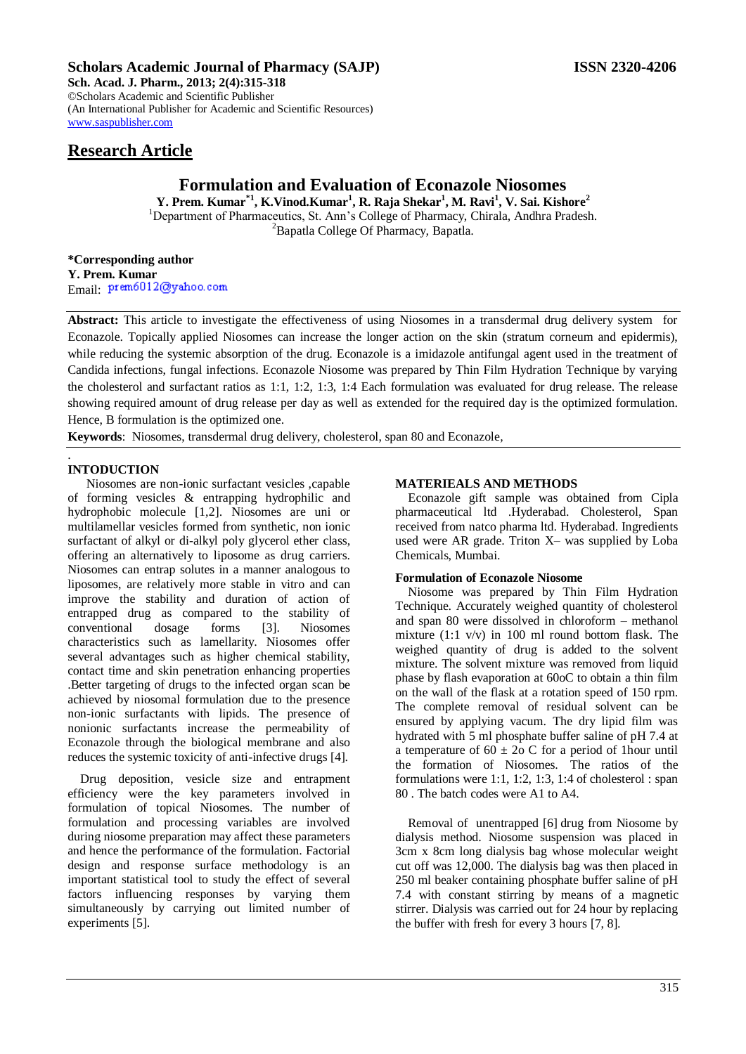## **Scholars Academic Journal of Pharmacy (SAJP) ISSN 2320-4206**

**Sch. Acad. J. Pharm., 2013; 2(4):315-318** ©Scholars Academic and Scientific Publisher (An International Publisher for Academic and Scientific Resources) [www.saspublisher.com](http://www.saspublisher.com/) 

## **Research Article**

# **Formulation and Evaluation of Econazole Niosomes**

**Y. Prem. Kumar\*1, K.Vinod.Kumar<sup>1</sup> , R. Raja Shekar<sup>1</sup> , M. Ravi<sup>1</sup> , V. Sai. Kishore<sup>2</sup>** <sup>1</sup>Department of Pharmaceutics, St. Ann's College of Pharmacy, Chirala, Andhra Pradesh. <sup>2</sup>Bapatla College Of Pharmacy*,* Bapatla*.*

**\*Corresponding author Y. Prem. Kumar** Email: prem6012@yahoo.com

**Abstract:** This article to investigate the effectiveness of using Niosomes in a transdermal drug delivery system for Econazole. Topically applied Niosomes can increase the longer action on the skin (stratum corneum and epidermis), while reducing the systemic absorption of the drug. Econazole is a imidazole antifungal agent used in the treatment of Candida infections, fungal infections. Econazole Niosome was prepared by Thin Film Hydration Technique by varying the cholesterol and surfactant ratios as 1:1, 1:2, 1:3, 1:4 Each formulation was evaluated for drug release. The release showing required amount of drug release per day as well as extended for the required day is the optimized formulation. Hence, B formulation is the optimized one.

**Keywords**: Niosomes, transdermal drug delivery, cholesterol, span 80 and Econazole*,* 

#### . **INTODUCTION**

 Niosomes are non-ionic surfactant vesicles ,capable of forming vesicles & entrapping hydrophilic and hydrophobic molecule [1,2]. Niosomes are uni or multilamellar vesicles formed from synthetic, non ionic surfactant of alkyl or di-alkyl poly glycerol ether class, offering an alternatively to liposome as drug carriers. Niosomes can entrap solutes in a manner analogous to liposomes, are relatively more stable in vitro and can improve the stability and duration of action of entrapped drug as compared to the stability of conventional dosage forms [3]. Niosomes characteristics such as lamellarity. Niosomes offer several advantages such as higher chemical stability, contact time and skin penetration enhancing properties .Better targeting of drugs to the infected organ scan be achieved by niosomal formulation due to the presence non-ionic surfactants with lipids. The presence of nonionic surfactants increase the permeability of Econazole through the biological membrane and also reduces the systemic toxicity of anti-infective drugs [4].

Drug deposition, vesicle size and entrapment efficiency were the key parameters involved in formulation of topical Niosomes. The number of formulation and processing variables are involved during niosome preparation may affect these parameters and hence the performance of the formulation. Factorial design and response surface methodology is an important statistical tool to study the effect of several factors influencing responses by varying them simultaneously by carrying out limited number of experiments [5].

## **MATERIEALS AND METHODS**

Econazole gift sample was obtained from Cipla pharmaceutical ltd .Hyderabad. Cholesterol, Span received from natco pharma ltd. Hyderabad. Ingredients used were AR grade. Triton X– was supplied by Loba Chemicals, Mumbai.

#### **Formulation of Econazole Niosome**

Niosome was prepared by Thin Film Hydration Technique. Accurately weighed quantity of cholesterol and span 80 were dissolved in chloroform – methanol mixture (1:1 v/v) in 100 ml round bottom flask. The weighed quantity of drug is added to the solvent mixture. The solvent mixture was removed from liquid phase by flash evaporation at 60oC to obtain a thin film on the wall of the flask at a rotation speed of 150 rpm. The complete removal of residual solvent can be ensured by applying vacum. The dry lipid film was hydrated with 5 ml phosphate buffer saline of pH 7.4 at a temperature of  $60 \pm 20$  C for a period of 1 hour until the formation of Niosomes. The ratios of the formulations were 1:1, 1:2, 1:3, 1:4 of cholesterol : span 80 . The batch codes were A1 to A4.

Removal of unentrapped [6] drug from Niosome by dialysis method. Niosome suspension was placed in 3cm x 8cm long dialysis bag whose molecular weight cut off was 12,000. The dialysis bag was then placed in 250 ml beaker containing phosphate buffer saline of pH 7.4 with constant stirring by means of a magnetic stirrer. Dialysis was carried out for 24 hour by replacing the buffer with fresh for every 3 hours [7, 8].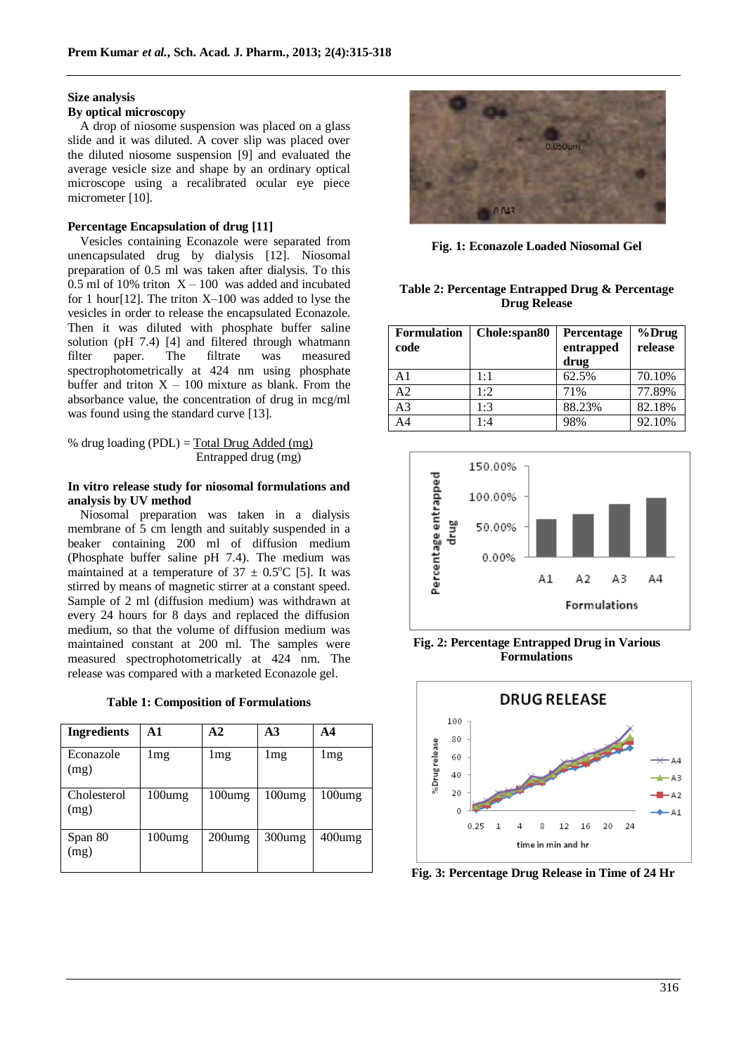#### **Size analysis**

## **By optical microscopy**

A drop of niosome suspension was placed on a glass slide and it was diluted. A cover slip was placed over the diluted niosome suspension [9] and evaluated the average vesicle size and shape by an ordinary optical microscope using a recalibrated ocular eye piece micrometer [10].

## **Percentage Encapsulation of drug [11]**

Vesicles containing Econazole were separated from unencapsulated drug by dialysis [12]. Niosomal preparation of 0.5 ml was taken after dialysis. To this 0.5 ml of 10% triton  $X - 100$  was added and incubated for 1 hour[12]. The triton X–100 was added to lyse the vesicles in order to release the encapsulated Econazole. Then it was diluted with phosphate buffer saline solution (pH 7.4) [4] and filtered through whatmann filter paper. The filtrate was measured spectrophotometrically at 424 nm using phosphate buffer and triton  $X - 100$  mixture as blank. From the absorbance value, the concentration of drug in mcg/ml was found using the standard curve [13].

% drug loading (PDL) = Total Drug Added (mg) Entrapped drug (mg)

## **In vitro release study for niosomal formulations and analysis by UV method**

Niosomal preparation was taken in a dialysis membrane of 5 cm length and suitably suspended in a beaker containing 200 ml of diffusion medium (Phosphate buffer saline pH 7.4). The medium was maintained at a temperature of  $37 \pm 0.5^{\circ}$ C [5]. It was stirred by means of magnetic stirrer at a constant speed. Sample of 2 ml (diffusion medium) was withdrawn at every 24 hours for 8 days and replaced the diffusion medium, so that the volume of diffusion medium was maintained constant at 200 ml. The samples were measured spectrophotometrically at 424 nm. The release was compared with a marketed Econazole gel.

|  |  | <b>Table 1: Composition of Formulations</b> |
|--|--|---------------------------------------------|
|--|--|---------------------------------------------|

| <b>Ingredients</b>  | A 1    | $\mathbf{A2}$ | $\mathbf{A}3$ | A4              |
|---------------------|--------|---------------|---------------|-----------------|
| Econazole<br>(mg)   | lmg    | lmg           | lmg           | 1 <sub>mg</sub> |
| Cholesterol<br>(mg) | 100umg | 100umg        | 100umg        | $100$ umg       |
| Span 80<br>(mg)     | 100umg | $200$ umg     | $300$ umg     | 400umg          |



**Fig. 1: Econazole Loaded Niosomal Gel**

#### **Table 2: Percentage Entrapped Drug & Percentage Drug Release**

| Formulation<br>code | Chole:span80 | Percentage<br>entrapped<br>drug | $%$ Drug<br>release |
|---------------------|--------------|---------------------------------|---------------------|
| A1                  | $1 \cdot 1$  | 62.5%                           | 70.10%              |
| A2                  | 1:2          | 71%                             | 77.89%              |
| A3                  | 1:3          | 88.23%                          | 82.18%              |
| A4                  | 1:4          | 98%                             | 92.10%              |



**Fig. 2: Percentage Entrapped Drug in Various Formulations**



**Fig. 3: Percentage Drug Release in Time of 24 Hr**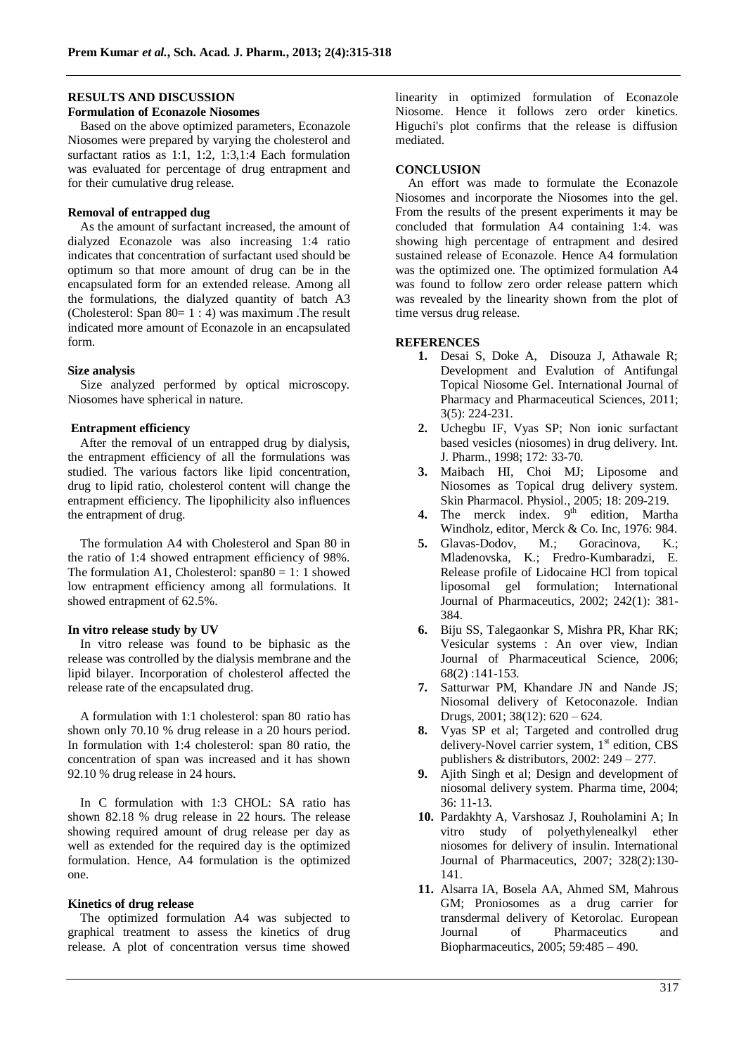#### **RESULTS AND DISCUSSION**

#### **Formulation of Econazole Niosomes**

Based on the above optimized parameters, Econazole Niosomes were prepared by varying the cholesterol and surfactant ratios as 1:1, 1:2, 1:3,1:4 Each formulation was evaluated for percentage of drug entrapment and for their cumulative drug release.

## **Removal of entrapped dug**

As the amount of surfactant increased, the amount of dialyzed Econazole was also increasing 1:4 ratio indicates that concentration of surfactant used should be optimum so that more amount of drug can be in the encapsulated form for an extended release. Among all the formulations, the dialyzed quantity of batch A3 (Cholesterol: Span  $80=1:4$ ) was maximum .The result indicated more amount of Econazole in an encapsulated form.

#### **Size analysis**

Size analyzed performed by optical microscopy. Niosomes have spherical in nature.

#### **Entrapment efficiency**

After the removal of un entrapped drug by dialysis, the entrapment efficiency of all the formulations was studied. The various factors like lipid concentration, drug to lipid ratio, cholesterol content will change the entrapment efficiency. The lipophilicity also influences the entrapment of drug.

The formulation A4 with Cholesterol and Span 80 in the ratio of 1:4 showed entrapment efficiency of 98%. The formulation A1, Cholesterol:  $span80 = 1: 1$  showed low entrapment efficiency among all formulations. It showed entrapment of 62.5%.

## **In vitro release study by UV**

In vitro release was found to be biphasic as the release was controlled by the dialysis membrane and the lipid bilayer. Incorporation of cholesterol affected the release rate of the encapsulated drug.

A formulation with 1:1 cholesterol: span 80 ratio has shown only 70.10 % drug release in a 20 hours period. In formulation with 1:4 cholesterol: span 80 ratio, the concentration of span was increased and it has shown 92.10 % drug release in 24 hours.

In C formulation with 1:3 CHOL: SA ratio has shown 82.18 % drug release in 22 hours. The release showing required amount of drug release per day as well as extended for the required day is the optimized formulation. Hence, A4 formulation is the optimized one.

#### **Kinetics of drug release**

The optimized formulation A4 was subjected to graphical treatment to assess the kinetics of drug release. A plot of concentration versus time showed

linearity in optimized formulation of Econazole Niosome. Hence it follows zero order kinetics. Higuchi's plot confirms that the release is diffusion mediated.

#### **CONCLUSION**

An effort was made to formulate the Econazole Niosomes and incorporate the Niosomes into the gel. From the results of the present experiments it may be concluded that formulation A4 containing 1:4. was showing high percentage of entrapment and desired sustained release of Econazole. Hence A4 formulation was the optimized one. The optimized formulation A4 was found to follow zero order release pattern which was revealed by the linearity shown from the plot of time versus drug release.

#### **REFERENCES**

- **1.** Desai S, Doke A, Disouza J, Athawale R; Development and Evalution of Antifungal Topical Niosome Gel. International Journal of Pharmacy and Pharmaceutical Sciences, 2011; 3(5): 224-231.
- **2.** Uchegbu IF, Vyas SP; Non ionic surfactant based vesicles (niosomes) in drug delivery. Int. J. Pharm., 1998; 172: 33-70.
- **3.** Maibach HI, Choi MJ; Liposome and Niosomes as Topical drug delivery system. Skin Pharmacol. Physiol., 2005; 18: 209-219.
- **4.** The merck index.  $9<sup>th</sup>$  edition, Martha Windholz, editor, Merck & Co. Inc, 1976: 984.
- **5.** Glavas-Dodov, M.; Goracinova, K.; Mladenovska, K.; Fredro-Kumbaradzi, E. Release profile of Lidocaine HCl from topical liposomal gel formulation; International Journal of Pharmaceutics, 2002; 242(1): 381- 384.
- **6.** Biju SS, Talegaonkar S, Mishra PR, Khar RK; Vesicular systems : An over view, Indian Journal of Pharmaceutical Science, 2006; 68(2) :141-153.
- **7.** Satturwar PM, Khandare JN and Nande JS; Niosomal delivery of Ketoconazole. Indian Drugs, 2001; 38(12): 620 – 624.
- **8.** Vyas SP et al; Targeted and controlled drug delivery-Novel carrier system, 1<sup>st</sup> edition, CBS publishers & distributors, 2002: 249 – 277.
- **9.** Ajith Singh et al; Design and development of niosomal delivery system. Pharma time, 2004; 36: 11-13.
- **10.** Pardakhty A, Varshosaz J, Rouholamini A; In vitro study of polyethylenealkyl ether niosomes for delivery of insulin. International Journal of Pharmaceutics, 2007; 328(2):130- 141.
- **11.** Alsarra IA, Bosela AA, Ahmed SM, Mahrous GM; Proniosomes as a drug carrier for transdermal delivery of Ketorolac. European Journal of Pharmaceutics and Biopharmaceutics, 2005; 59:485 – 490.